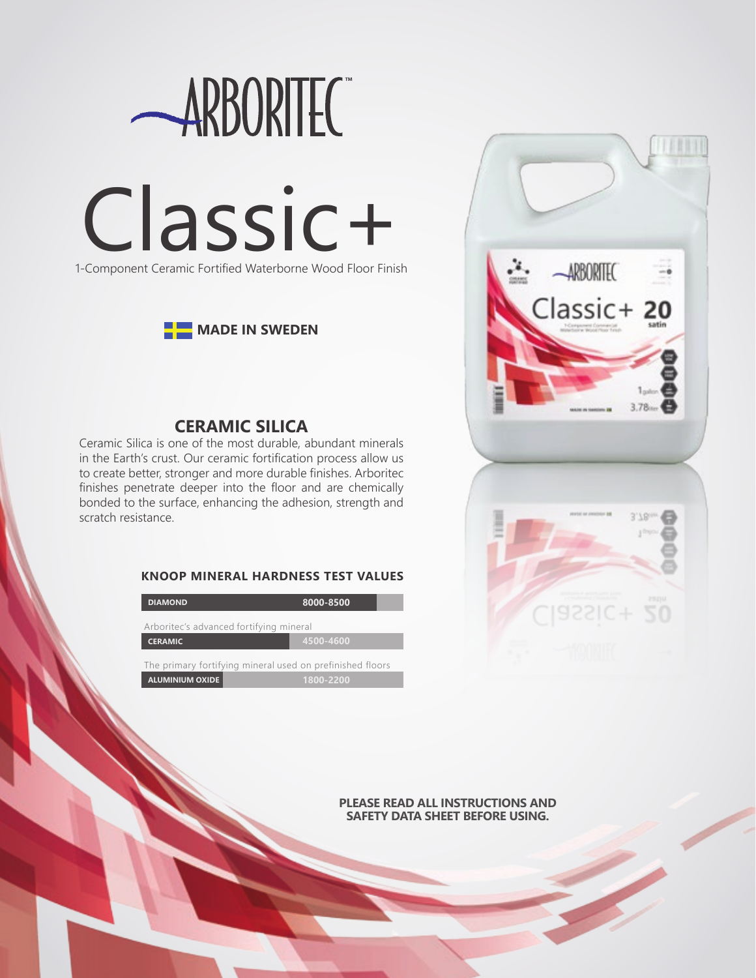



# **CERAMIC SILICA**

Ceramic Silica is one of the most durable, abundant minerals in the Earth's crust. Our ceramic fortification process allow us to create better, stronger and more durable finishes. Arboritec finishes penetrate deeper into the floor and are chemically bonded to the surface, enhancing the adhesion, strength and scratch resistance.

## **KNOOP MINERAL HARDNESS TEST VALUES**

| <b>DIAMOND</b>                                            | 8000-8500 |
|-----------------------------------------------------------|-----------|
| Arboritec's advanced fortifying mineral                   |           |
| <b>CERAMIC</b>                                            | 4500-4600 |
| The primary fortifying mineral used on prefinished floors |           |
| <b>ALUMINIUM OXIDE</b>                                    | 1800-2200 |



**PLEASE READ ALL INSTRUCTIONS AND SAFETY DATA SHEET BEFORE USING.**